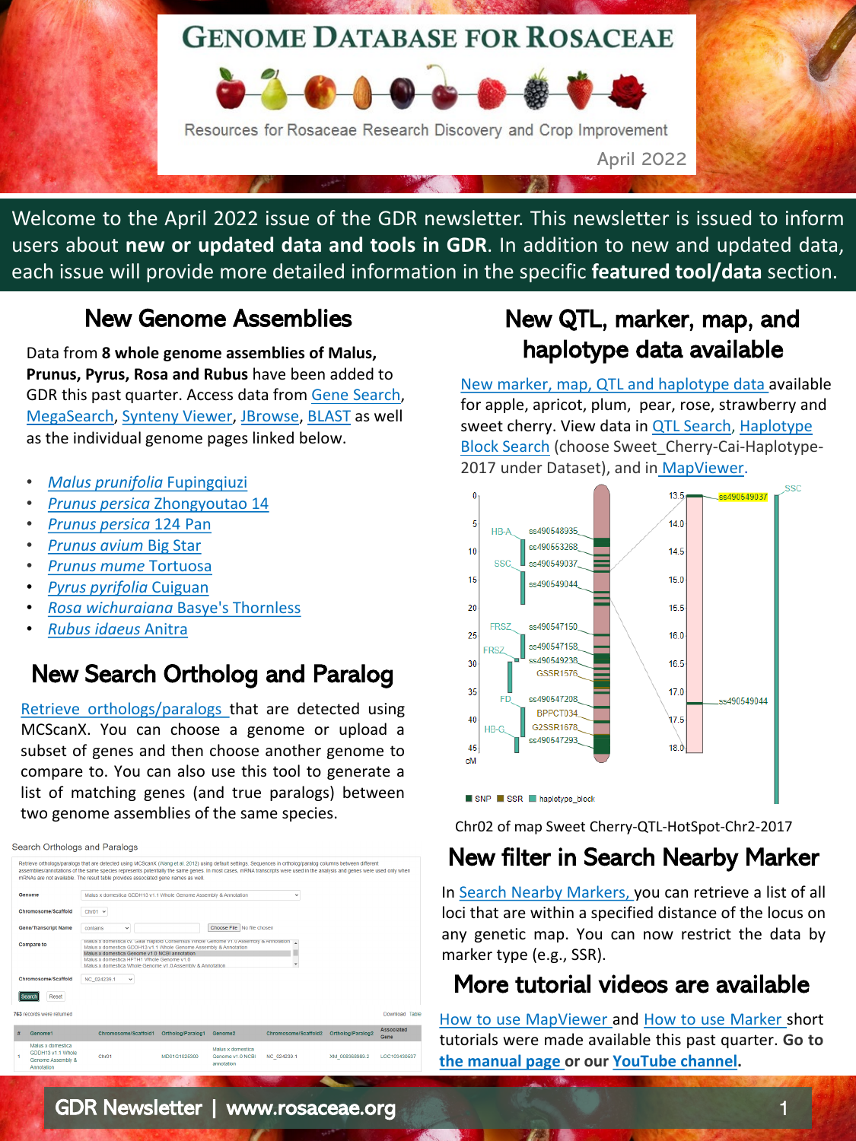# **GENOME DATABASE FOR ROSACEAE**



Welcome to the April 2022 issue of the GDR newsletter. This newsletter is issued to inform users about **new or updated data and tools in GDR**. In addition to new and updated data, each issue will provide more detailed information in the specific **featured tool/data** section.

### New Genome Assemblies

Data from **8 whole genome assemblies of Malus, Prunus, Pyrus, Rosa and Rubus** have been added to GDR this past quarter. Access data from [Gene Search,](https://www.rosaceae.org/search/genes) [MegaSearch,](https://www.rosaceae.org/tripal_megasearch) [Synteny Viewer,](https://www.rosaceae.org/synview/search) [JBrowse,](https://www.rosaceae.org/tools/jbrowse) [BLAST](https://www.rosaceae.org/blast) as well as the individual genome pages linked below.

- *[Malus prunifolia](https://www.rosaceae.org/Analysis/13227590)* Fupingqiuzi
- *[Prunus persica](https://www.rosaceae.org/Analysis/13227590)* Zhongyoutao 14
- *[Prunus persica](https://www.rosaceae.org/Analysis/13114623)* 124 Pan
- *[Prunus avium](https://www.rosaceae.org/Analysis/13087663)* Big Star
- *[Prunus mume](https://www.rosaceae.org/Analysis/13114608)* Tortuosa
- *[Pyrus pyrifolia](https://www.rosaceae.org/Analysis/11815273)* Cuiguan
- *[Rosa wichuraiana](https://www.rosaceae.org/Analysis/13087667)* Basye's Thornless
- *[Rubus idaeus](https://www.rosaceae.org/Analysis/13114607)* Anitra

## New Search Ortholog and Paralog

Retrieve [orthologs/paralogs](https://www.rosaceae.org/search/orthologs) that are detected using MCScanX. You can choose a genome or upload a subset of genes and then choose another genome to compare to. You can also use this tool to generate a list of matching genes (and true paralogs) between two genome assemblies of the same species.



## New QTL, marker, map, and haplotype data available

[New marker, map, QTL and haplotype data](https://www.rosaceae.org/node/10812385) available for apple, apricot, plum, pear, rose, strawberry and sweet cherry. View data in QTL Search, Haplotype Block Search (choose Sweet\_Cherry-Cai-Haplotype-2017 under Dataset), and in [MapViewer](https://www.rosaceae.org/mapviewer/724/Chr02/3690790).



Chr02 of map Sweet Cherry-QTL-HotSpot-Chr2-2017

## New filter in Search Nearby Marker

In Search Nearby [Markers,](https://www.rosaceae.org/search/nearby_markers) you can retrieve a list of all loci that are within a specified distance of the locus on any genetic map. You can now restrict the data by marker type (e.g., SSR).

## More tutorial videos are available

How to use [MapViewer](https://www.youtube.com/watch?v=Ia3v650TZAg&t=98s) and How to use [Marker](https://www.youtube.com/watch?v=t6Kl2z_dCqs&t=7s) short tutorials were made available this past quarter. **Go to the [manual page](https://www.rosaceae.org/node/6989887) or our [YouTube](https://www.youtube.com/channel/UC0S8SqxuMpfScejyE-VCtxA/videos) channel.**